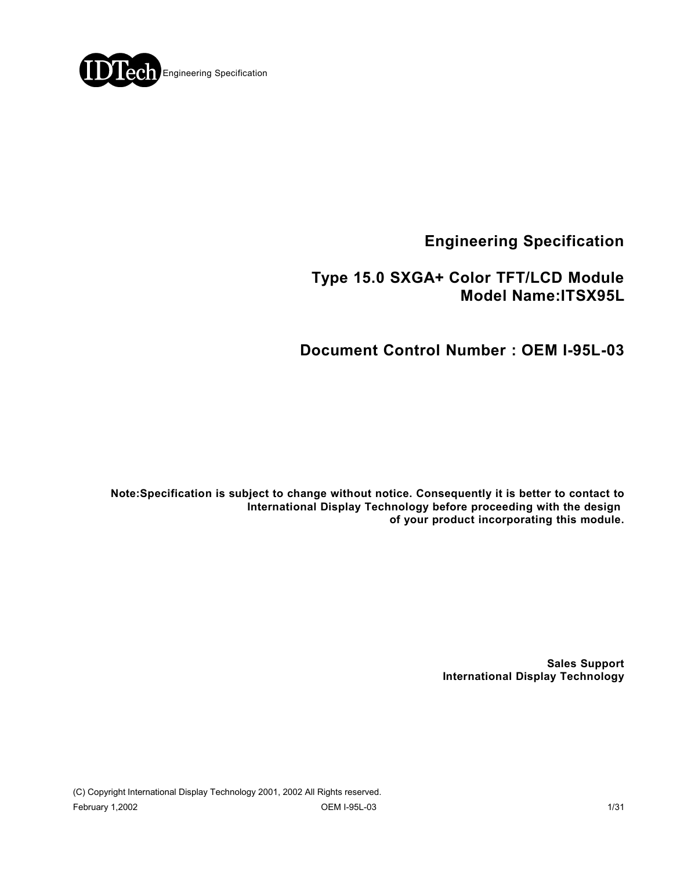

**Engineering Specification**

## **Type 15.0 SXGA+ Color TFT/LCD Module Model Name:ITSX95L**

## **Document Control Number : OEM I-95L-03**

**Note:Specification is subject to change without notice. Consequently it is better to contact to International Display Technology before proceeding with the design of your product incorporating this module.**

> **Sales Support International Display Technology**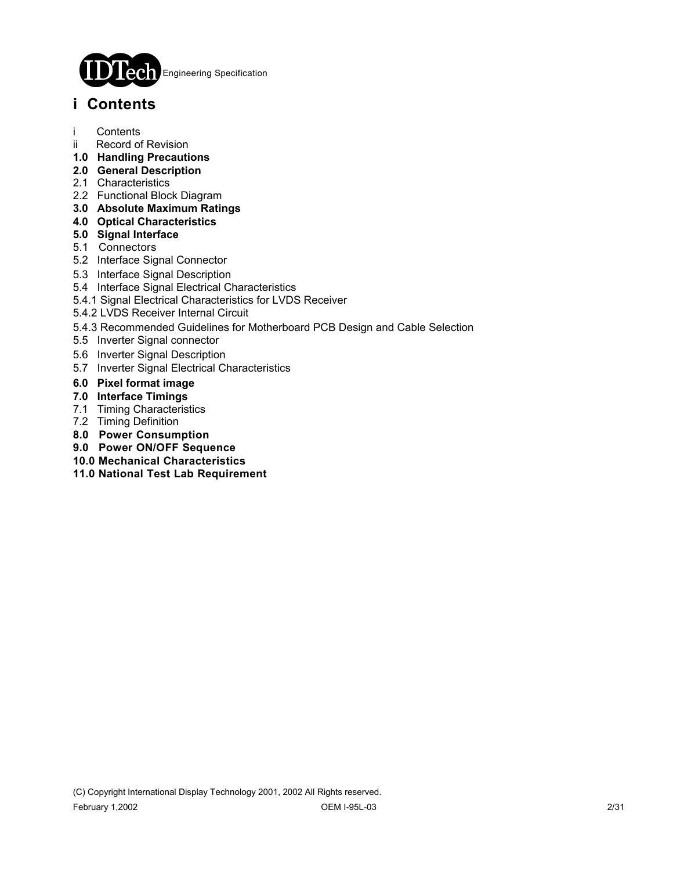

## **i Contents**

- i Contents
- ii Record of Revision
- **1.0 Handling Precautions**
- **2.0 General Description**
- 2.1 Characteristics
- 2.2 Functional Block Diagram
- **3.0 Absolute Maximum Ratings**
- **4.0 Optical Characteristics**
- **5.0 Signal Interface**
- 5.1 Connectors
- 5.2 Interface Signal Connector
- 5.3 Interface Signal Description
- 5.4 Interface Signal Electrical Characteristics
- 5.4.1 Signal Electrical Characteristics for LVDS Receiver
- 5.4.2 LVDS Receiver Internal Circuit
- 5.4.3 Recommended Guidelines for Motherboard PCB Design and Cable Selection
- 5.5 Inverter Signal connector
- 5.6 Inverter Signal Description
- 5.7 Inverter Signal Electrical Characteristics
- **6.0 Pixel format image**
- **7.0 Interface Timings**
- 7.1 Timing Characteristics
- 7.2 Timing Definition
- **8.0 Power Consumption**
- **9.0 Power ON/OFF Sequence**
- **10.0 Mechanical Characteristics**
- **11.0 National Test Lab Requirement**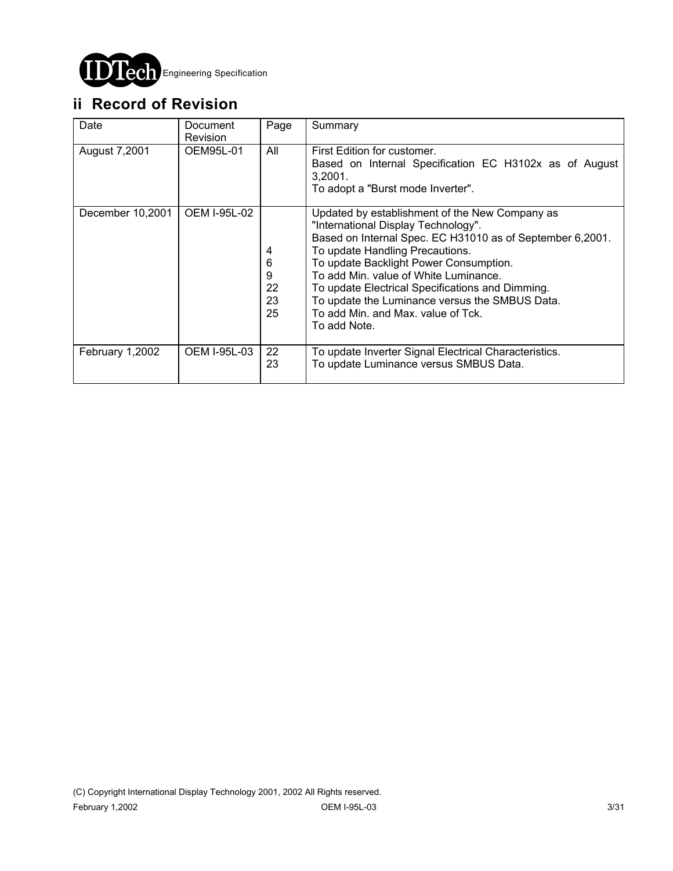

# **ii Record of Revision**

| Date             | Document<br><b>Revision</b> | Page                          | Summary                                                                                                                                                                                                                                                                                                                                                                                                                              |
|------------------|-----------------------------|-------------------------------|--------------------------------------------------------------------------------------------------------------------------------------------------------------------------------------------------------------------------------------------------------------------------------------------------------------------------------------------------------------------------------------------------------------------------------------|
| August 7,2001    | OEM95L-01                   | All                           | First Edition for customer.<br>Based on Internal Specification EC H3102x as of August<br>3,2001.<br>To adopt a "Burst mode Inverter".                                                                                                                                                                                                                                                                                                |
| December 10,2001 | <b>OEM I-95L-02</b>         | 4<br>6<br>9<br>22<br>23<br>25 | Updated by establishment of the New Company as<br>"International Display Technology".<br>Based on Internal Spec. EC H31010 as of September 6,2001.<br>To update Handling Precautions.<br>To update Backlight Power Consumption.<br>To add Min. value of White Luminance.<br>To update Electrical Specifications and Dimming.<br>To update the Luminance versus the SMBUS Data.<br>To add Min. and Max. value of Tck.<br>To add Note. |
| February 1,2002  | OEM I-95L-03                | 22<br>23                      | To update Inverter Signal Electrical Characteristics.<br>To update Luminance versus SMBUS Data.                                                                                                                                                                                                                                                                                                                                      |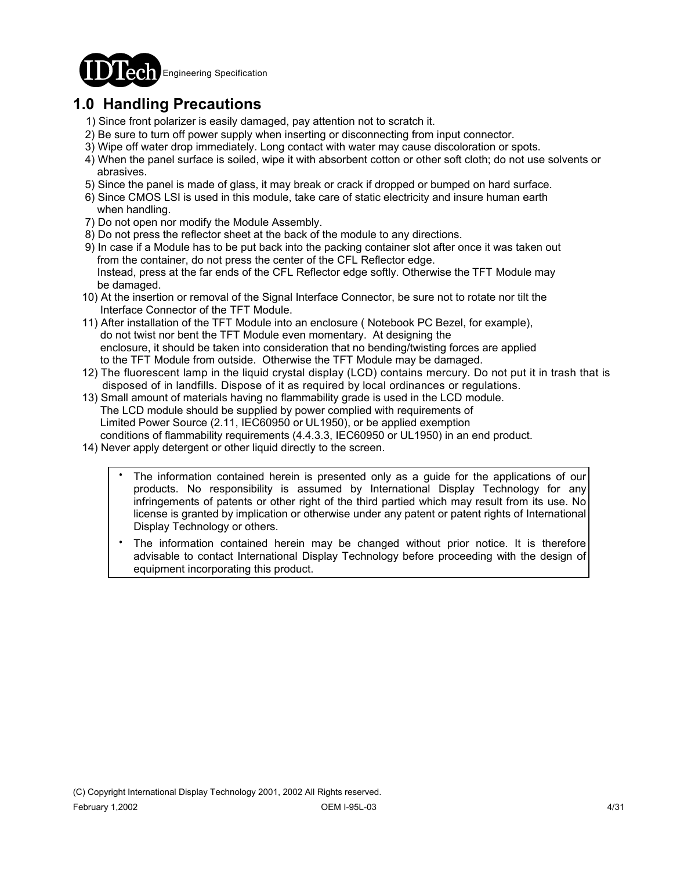

# **1.0 Handling Precautions**

- 1) Since front polarizer is easily damaged, pay attention not to scratch it.
- 2) Be sure to turn off power supply when inserting or disconnecting from input connector.
- 3) Wipe off water drop immediately. Long contact with water may cause discoloration or spots.
- 4) When the panel surface is soiled, wipe it with absorbent cotton or other soft cloth; do not use solvents or abrasives.
- 5) Since the panel is made of glass, it may break or crack if dropped or bumped on hard surface.
- 6) Since CMOS LSI is used in this module, take care of static electricity and insure human earth when handling.
- 7) Do not open nor modify the Module Assembly.
- 8) Do not press the reflector sheet at the back of the module to any directions.
- 9) In case if a Module has to be put back into the packing container slot after once it was taken out from the container, do not press the center of the CFL Reflector edge. Instead, press at the far ends of the CFL Reflector edge softly. Otherwise the TFT Module may be damaged.
- 10) At the insertion or removal of the Signal Interface Connector, be sure not to rotate nor tilt the Interface Connector of the TFT Module.
- 11) After installation of the TFT Module into an enclosure ( Notebook PC Bezel, for example), do not twist nor bent the TFT Module even momentary. At designing the enclosure, it should be taken into consideration that no bending/twisting forces are applied to the TFT Module from outside. Otherwise the TFT Module may be damaged.
- 12) The fluorescent lamp in the liquid crystal display (LCD) contains mercury. Do not put it in trash that is disposed of in landfills. Dispose of it as required by local ordinances or regulations.
- 13) Small amount of materials having no flammability grade is used in the LCD module. The LCD module should be supplied by power complied with requirements of Limited Power Source (2.11, IEC60950 or UL1950), or be applied exemption conditions of flammability requirements (4.4.3.3, IEC60950 or UL1950) in an end product.
- 14) Never apply detergent or other liquid directly to the screen.
	- The information contained herein is presented only as a guide for the applications of our products. No responsibility is assumed by International Display Technology for any infringements of patents or other right of the third partied which may result from its use. No license is granted by implication or otherwise under any patent or patent rights of International Display Technology or others. .
	- The information contained herein may be changed without prior notice. It is therefore advisable to contact International Display Technology before proceeding with the design of equipment incorporating this product. .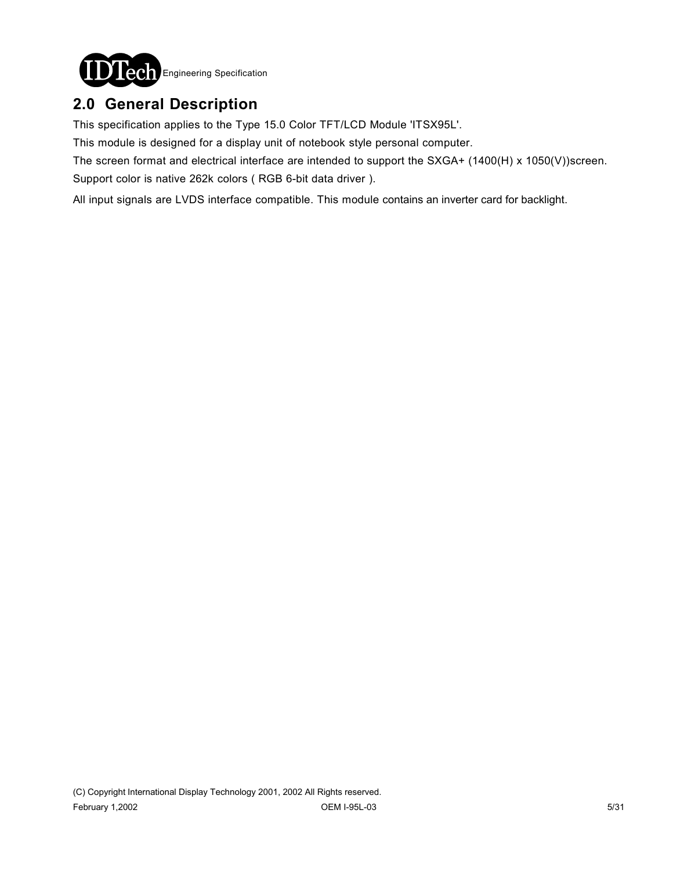

## **2.0 General Description**

This specification applies to the Type 15.0 Color TFT/LCD Module 'ITSX95L'.

This module is designed for a display unit of notebook style personal computer.

The screen format and electrical interface are intended to support the SXGA+ (1400(H) x 1050(V))screen.

Support color is native 262k colors ( RGB 6-bit data driver ).

All input signals are LVDS interface compatible. This module contains an inverter card for backlight.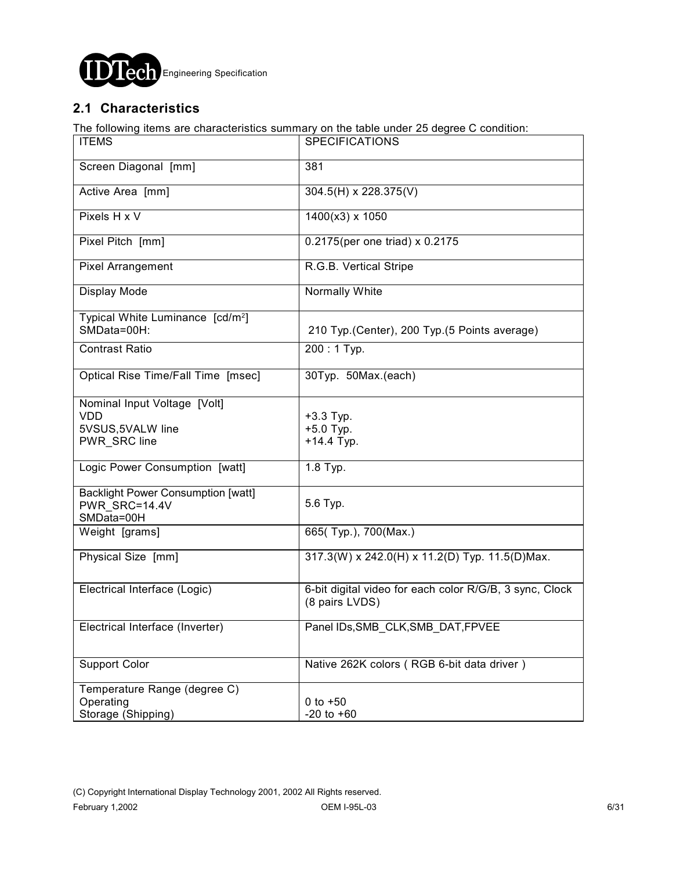

## **2.1 Characteristics**

The following items are characteristics summary on the table under 25 degree C condition:

| <b>ITEMS</b>                                                                    | SPECIFICATIONS                                                            |
|---------------------------------------------------------------------------------|---------------------------------------------------------------------------|
| Screen Diagonal [mm]                                                            | 381                                                                       |
| Active Area [mm]                                                                | 304.5(H) x 228.375(V)                                                     |
| Pixels H x V                                                                    | 1400(x3) x 1050                                                           |
| Pixel Pitch [mm]                                                                | 0.2175(per one triad) x 0.2175                                            |
| <b>Pixel Arrangement</b>                                                        | R.G.B. Vertical Stripe                                                    |
| Display Mode                                                                    | <b>Normally White</b>                                                     |
| Typical White Luminance [cd/m <sup>2</sup> ]<br>SMData=00H:                     | 210 Typ. (Center), 200 Typ. (5 Points average)                            |
| <b>Contrast Ratio</b>                                                           | 200:1 Typ.                                                                |
| Optical Rise Time/Fall Time [msec]                                              | 30Typ. 50Max.(each)                                                       |
| Nominal Input Voltage [Volt]<br><b>VDD</b><br>5VSUS, 5VALW line<br>PWR_SRC line | $+3.3$ Typ.<br>$+5.0$ Typ.<br>$+14.4$ Typ.                                |
| Logic Power Consumption [watt]                                                  | 1.8 Typ.                                                                  |
| <b>Backlight Power Consumption [watt]</b><br>PWR SRC=14.4V<br>SMData=00H        | 5.6 Typ.                                                                  |
| Weight [grams]                                                                  | 665(Typ.), 700(Max.)                                                      |
| Physical Size [mm]                                                              | 317.3(W) x 242.0(H) x 11.2(D) Typ. 11.5(D)Max.                            |
| Electrical Interface (Logic)                                                    | 6-bit digital video for each color R/G/B, 3 sync, Clock<br>(8 pairs LVDS) |
| Electrical Interface (Inverter)                                                 | Panel IDs, SMB_CLK, SMB_DAT, FPVEE                                        |
| <b>Support Color</b>                                                            | Native 262K colors (RGB 6-bit data driver)                                |
| Temperature Range (degree C)<br>Operating<br>Storage (Shipping)                 | $0 to +50$<br>$-20$ to $+60$                                              |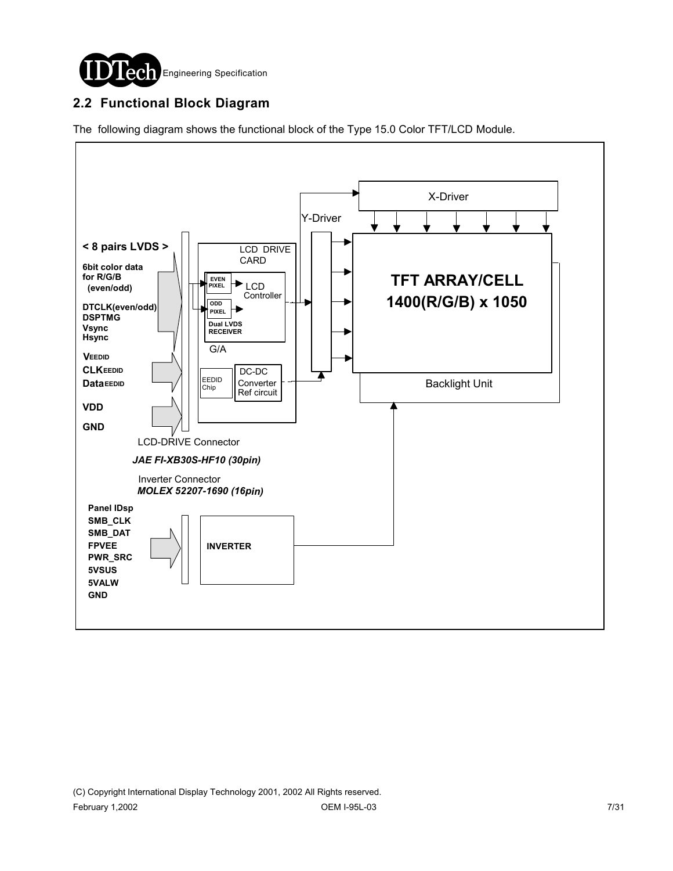

## **2.2 Functional Block Diagram**

The following diagram shows the functional block of the Type 15.0 Color TFT/LCD Module.

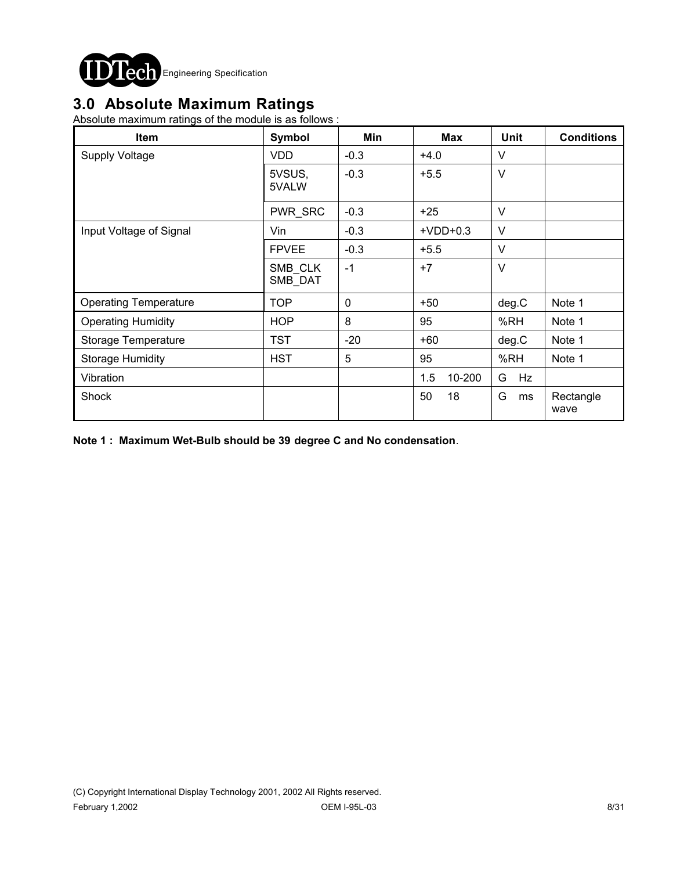

## **3.0 Absolute Maximum Ratings**

Absolute maximum ratings of the module is as follows :

| <b>Item</b>                  | Symbol             | Min    | Max           | <b>Unit</b> | <b>Conditions</b> |
|------------------------------|--------------------|--------|---------------|-------------|-------------------|
| <b>Supply Voltage</b>        | <b>VDD</b>         | $-0.3$ | $+4.0$        | V           |                   |
|                              | 5VSUS,<br>5VALW    | $-0.3$ | $+5.5$        | $\vee$      |                   |
|                              | PWR_SRC            | $-0.3$ | $+25$         | $\vee$      |                   |
| Input Voltage of Signal      | Vin                | $-0.3$ | $+VDD+0.3$    | V           |                   |
|                              | <b>FPVEE</b>       | $-0.3$ | $+5.5$        | V           |                   |
|                              | SMB CLK<br>SMB_DAT | $-1$   | $+7$          | $\vee$      |                   |
| <b>Operating Temperature</b> | <b>TOP</b>         | 0      | $+50$         | deg.C       | Note 1            |
| <b>Operating Humidity</b>    | <b>HOP</b>         | 8      | 95            | %RH         | Note 1            |
| Storage Temperature          | <b>TST</b>         | $-20$  | $+60$         | deg.C       | Note 1            |
| <b>Storage Humidity</b>      | <b>HST</b>         | 5      | 95            | %RH         | Note 1            |
| Vibration                    |                    |        | 10-200<br>1.5 | G<br>Hz     |                   |
| Shock                        |                    |        | 50<br>18      | G<br>ms     | Rectangle<br>wave |

**Note 1 : Maximum Wet-Bulb should be 39 degree C and No condensation**.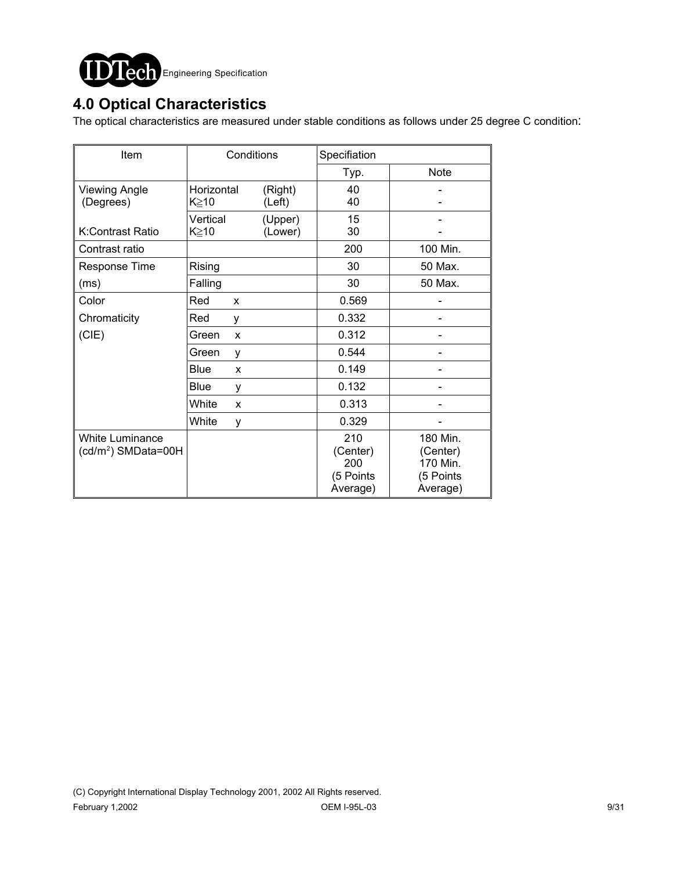

## **4.0 Optical Characteristics**

The optical characteristics are measured under stable conditions as follows under 25 degree C condition:

| Item                                                      |                    | Conditions         | Specifiation                                    |                                                           |  |  |  |
|-----------------------------------------------------------|--------------------|--------------------|-------------------------------------------------|-----------------------------------------------------------|--|--|--|
|                                                           |                    |                    | Typ.                                            | <b>Note</b>                                               |  |  |  |
| <b>Viewing Angle</b><br>(Degrees)                         | Horizontal<br>K≥10 | (Right)<br>(Left)  | 40<br>40                                        |                                                           |  |  |  |
| K:Contrast Ratio                                          | Vertical<br>K≧10   | (Upper)<br>(Lower) | 15<br>30                                        |                                                           |  |  |  |
| Contrast ratio                                            |                    |                    | 200                                             | 100 Min.                                                  |  |  |  |
| Response Time                                             | Rising             |                    | 30                                              | 50 Max.                                                   |  |  |  |
| (ms)                                                      | Falling            |                    | 30                                              | 50 Max.                                                   |  |  |  |
| Color                                                     | Red<br>X           |                    | 0.569                                           |                                                           |  |  |  |
| Chromaticity                                              | Red<br>у           |                    | 0.332                                           |                                                           |  |  |  |
| (CIE)                                                     | Green<br>X         |                    | 0.312                                           |                                                           |  |  |  |
|                                                           | Green<br>y         |                    | 0.544                                           |                                                           |  |  |  |
|                                                           | <b>Blue</b><br>X   |                    | 0.149                                           |                                                           |  |  |  |
|                                                           | Blue<br>y          |                    | 0.132                                           |                                                           |  |  |  |
|                                                           | White<br>X         |                    | 0.313                                           |                                                           |  |  |  |
|                                                           | White<br>y         |                    | 0.329                                           |                                                           |  |  |  |
| <b>White Luminance</b><br>(cd/m <sup>2</sup> ) SMData=00H |                    |                    | 210<br>(Center)<br>200<br>(5 Points<br>Average) | 180 Min.<br>(Center)<br>170 Min.<br>(5 Points<br>Average) |  |  |  |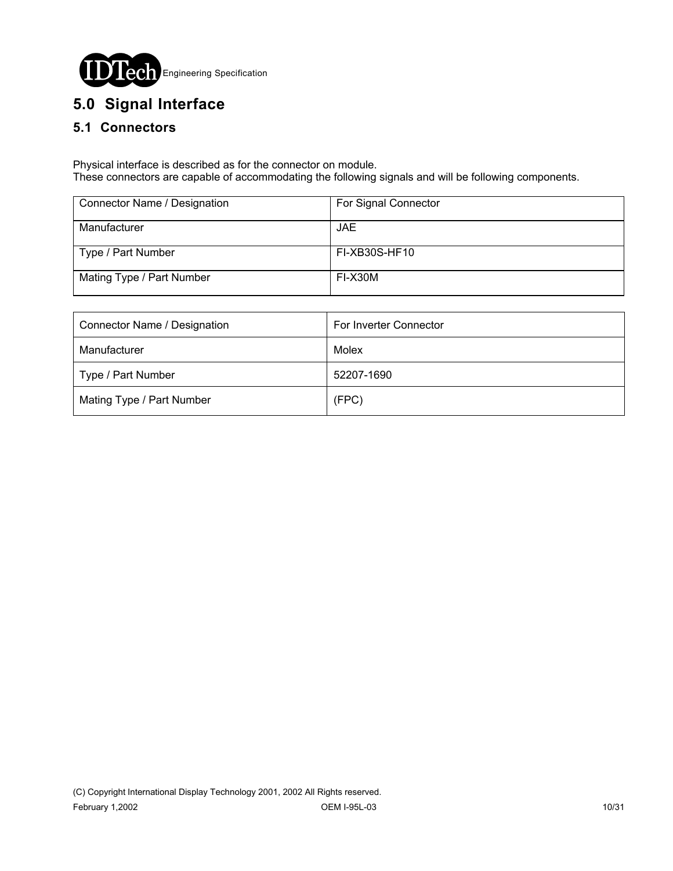

# **5.0 Signal Interface**

### **5.1 Connectors**

Physical interface is described as for the connector on module. These connectors are capable of accommodating the following signals and will be following components.

| Connector Name / Designation | For Signal Connector |
|------------------------------|----------------------|
| Manufacturer                 | <b>JAE</b>           |
| Type / Part Number           | FI-XB30S-HF10        |
| Mating Type / Part Number    | FI-X30M              |

| Connector Name / Designation | For Inverter Connector |  |  |
|------------------------------|------------------------|--|--|
| Manufacturer                 | Molex                  |  |  |
| Type / Part Number           | 52207-1690             |  |  |
| Mating Type / Part Number    | (FPC)                  |  |  |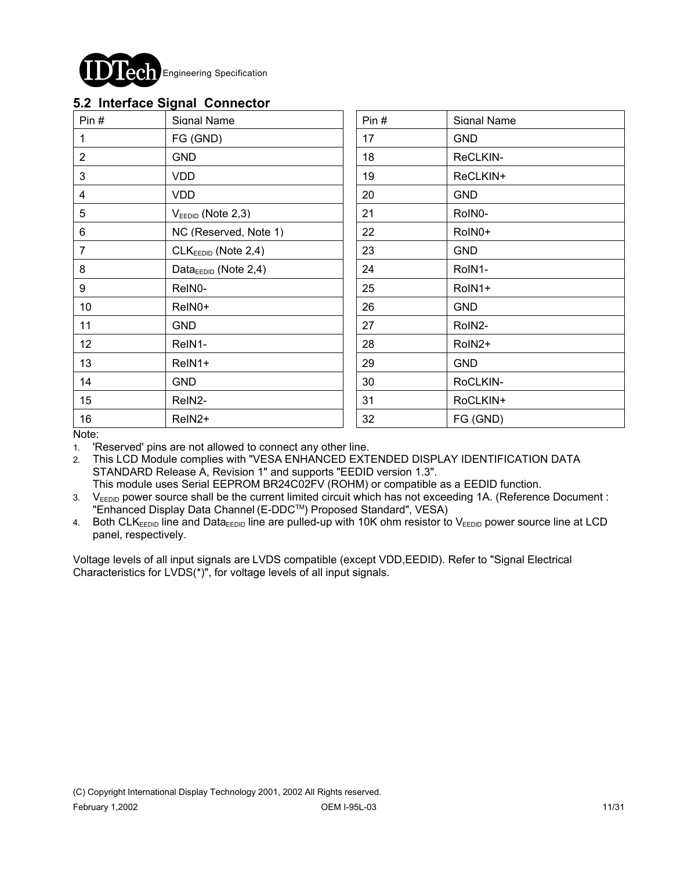

|  |  | 5.2 Interface Signal Connector |  |
|--|--|--------------------------------|--|
|  |  |                                |  |

| Pin#            | Signal Name                       | Pin# | Signal Name |
|-----------------|-----------------------------------|------|-------------|
| 1               | FG (GND)                          | 17   | <b>GND</b>  |
| $\overline{2}$  | <b>GND</b>                        | 18   | ReCLKIN-    |
| 3               | VDD                               | 19   | ReCLKIN+    |
| 4               | VDD                               | 20   | <b>GND</b>  |
| 5               | $V_{FEDID}$ (Note 2,3)            | 21   | RoIN0-      |
| 6               | NC (Reserved, Note 1)             | 22   | RoIN0+      |
| $\overline{7}$  | $CLKEEDID$ (Note 2,4)             | 23   | <b>GND</b>  |
| 8               | Data $_{\text{EEDID}}$ (Note 2,4) | 24   | RoIN1-      |
| 9               | ReIN0-                            | 25   | RoIN1+      |
| 10 <sup>°</sup> | ReIN0+                            | 26   | <b>GND</b>  |
| 11              | <b>GND</b>                        | 27   | RoIN2-      |
| 12 <sub>2</sub> | ReIN1-                            | 28   | RoIN2+      |
| 13              | ReIN1+                            | 29   | <b>GND</b>  |
| 14              | <b>GND</b>                        | 30   | RoCLKIN-    |
| 15              | ReIN2-                            | 31   | RoCLKIN+    |
| 16              | ReIN2+                            | 32   | FG (GND)    |

Note:

1. 'Reserved' pins are not allowed to connect any other line.

2. This LCD Module complies with "VESA ENHANCED EXTENDED DISPLAY IDENTIFICATION DATA STANDARD Release A, Revision 1" and supports "EEDID version 1.3". This module uses Serial EEPROM BR24C02FV (ROHM) or compatible as a EEDID function.

3. V<sub>EEDID</sub> power source shall be the current limited circuit which has not exceeding 1A. (Reference Document : "Enhanced Display Data Channel (E-DDCTM) Proposed Standard", VESA)

4. Both CLK<sub>EEDID</sub> line and Data<sub>EEDID</sub> line are pulled-up with 10K ohm resistor to V<sub>EEDID</sub> power source line at LCD panel, respectively.

Voltage levels of all input signals are LVDS compatible (except VDD,EEDID). Refer to "Signal Electrical Characteristics for LVDS(\*)", for voltage levels of all input signals.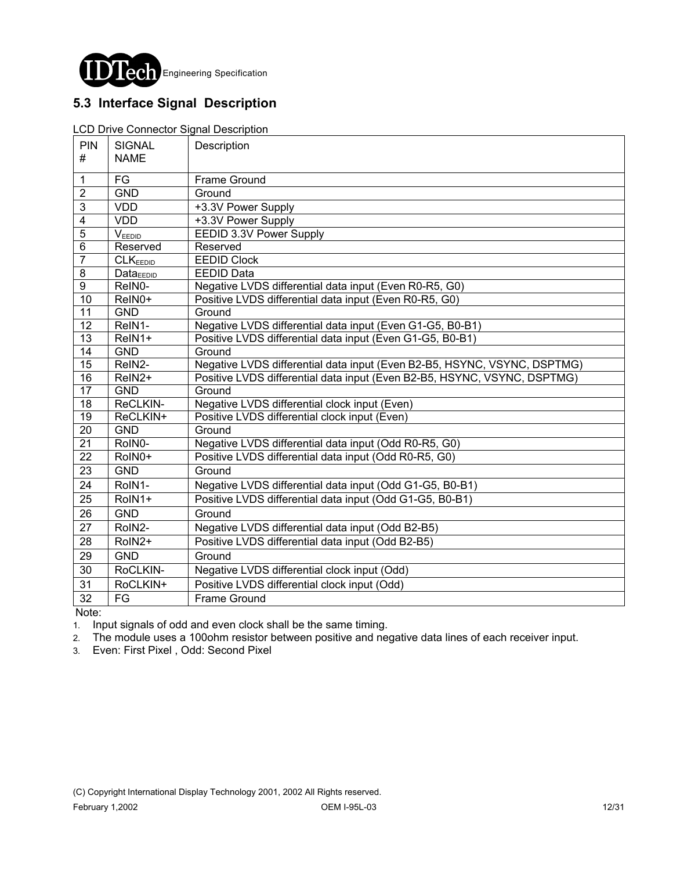

## **5.3 Interface Signal Description**

#### LCD Drive Connector Signal Description

| PIN<br>#                | <b>SIGNAL</b><br><b>NAME</b> | Description                                                              |
|-------------------------|------------------------------|--------------------------------------------------------------------------|
|                         |                              |                                                                          |
| $\mathbf{1}$            | FG                           | Frame Ground                                                             |
| $\overline{2}$          | <b>GND</b>                   | Ground                                                                   |
| $\mathbf{3}$            | <b>VDD</b>                   | +3.3V Power Supply                                                       |
| $\overline{\mathbf{4}}$ | <b>VDD</b>                   | +3.3V Power Supply                                                       |
| $\overline{5}$          | V <sub>EEDID</sub>           | EEDID 3.3V Power Supply                                                  |
| $\overline{6}$          | Reserved                     | Reserved                                                                 |
| $\overline{7}$          | CLK <sub>EEDID</sub>         | <b>EEDID Clock</b>                                                       |
| 8                       | $Data_{EEDID}$               | <b>EEDID Data</b>                                                        |
| $\overline{9}$          | ReIN0-                       | Negative LVDS differential data input (Even R0-R5, G0)                   |
| $\overline{10}$         | ReIN0+                       | Positive LVDS differential data input (Even R0-R5, G0)                   |
| 11                      | <b>GND</b>                   | Ground                                                                   |
| 12                      | ReIN1-                       | Negative LVDS differential data input (Even G1-G5, B0-B1)                |
| $\overline{13}$         | ReIN1+                       | Positive LVDS differential data input (Even G1-G5, B0-B1)                |
| $\overline{14}$         | <b>GND</b>                   | Ground                                                                   |
| 15                      | ReIN2-                       | Negative LVDS differential data input (Even B2-B5, HSYNC, VSYNC, DSPTMG) |
| 16                      | ReIN2+                       | Positive LVDS differential data input (Even B2-B5, HSYNC, VSYNC, DSPTMG) |
| $\overline{17}$         | <b>GND</b>                   | Ground                                                                   |
| $\overline{18}$         | ReCLKIN-                     | Negative LVDS differential clock input (Even)                            |
| 19                      | ReCLKIN+                     | Positive LVDS differential clock input (Even)                            |
| $\overline{20}$         | <b>GND</b>                   | Ground                                                                   |
| $\overline{21}$         | RoIN0-                       | Negative LVDS differential data input (Odd R0-R5, G0)                    |
| $\overline{22}$         | RoIN0+                       | Positive LVDS differential data input (Odd R0-R5, G0)                    |
| 23                      | <b>GND</b>                   | Ground                                                                   |
| 24                      | RoIN1-                       | Negative LVDS differential data input (Odd G1-G5, B0-B1)                 |
| 25                      | RoIN1+                       | Positive LVDS differential data input (Odd G1-G5, B0-B1)                 |
| 26                      | <b>GND</b>                   | Ground                                                                   |
| 27                      | RoIN2-                       | Negative LVDS differential data input (Odd B2-B5)                        |
| 28                      | RoIN2+                       | Positive LVDS differential data input (Odd B2-B5)                        |
| 29                      | <b>GND</b>                   | Ground                                                                   |
| 30                      | RoCLKIN-                     | Negative LVDS differential clock input (Odd)                             |
| 31                      | RoCLKIN+                     | Positive LVDS differential clock input (Odd)                             |
| 32                      | FG                           | <b>Frame Ground</b>                                                      |

Note:

1. Input signals of odd and even clock shall be the same timing.

2. The module uses a 100ohm resistor between positive and negative data lines of each receiver input.

3. Even: First Pixel , Odd: Second Pixel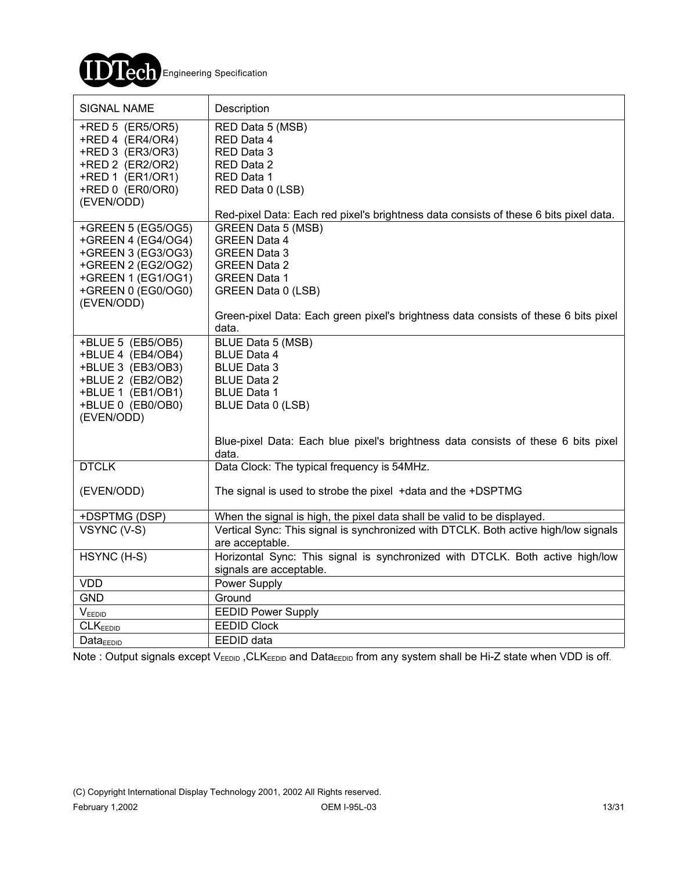

| <b>SIGNAL NAME</b>                                                                                                                 | Description                                                                                                                                                                           |
|------------------------------------------------------------------------------------------------------------------------------------|---------------------------------------------------------------------------------------------------------------------------------------------------------------------------------------|
| +RED 5 (ER5/OR5)<br>+RED 4 (ER4/OR4)<br>+RED 3 (ER3/OR3)<br>+RED 2 (ER2/OR2)<br>+RED 1 (ER1/OR1)<br>+RED 0 (ER0/OR0)<br>(EVEN/ODD) | RED Data 5 (MSB)<br>RED Data 4<br>RED Data 3<br>RED Data 2<br>RED Data 1<br>RED Data 0 (LSB)<br>Red-pixel Data: Each red pixel's brightness data consists of these 6 bits pixel data. |
| +GREEN 5 (EG5/OG5)                                                                                                                 | <b>GREEN Data 5 (MSB)</b>                                                                                                                                                             |
| +GREEN 4 (EG4/OG4)<br>+GREEN 3 (EG3/OG3)                                                                                           | <b>GREEN Data 4</b><br><b>GREEN Data 3</b>                                                                                                                                            |
| +GREEN 2 (EG2/OG2)                                                                                                                 | <b>GREEN Data 2</b>                                                                                                                                                                   |
| +GREEN 1 (EG1/OG1)                                                                                                                 | <b>GREEN Data 1</b>                                                                                                                                                                   |
| +GREEN 0 (EG0/OG0)                                                                                                                 | GREEN Data 0 (LSB)                                                                                                                                                                    |
| (EVEN/ODD)                                                                                                                         | Green-pixel Data: Each green pixel's brightness data consists of these 6 bits pixel                                                                                                   |
|                                                                                                                                    | data.                                                                                                                                                                                 |
| +BLUE 5 (EB5/OB5)                                                                                                                  | BLUE Data 5 (MSB)                                                                                                                                                                     |
| +BLUE 4 (EB4/OB4)                                                                                                                  | <b>BLUE Data 4</b><br><b>BLUE Data 3</b>                                                                                                                                              |
| +BLUE 3 (EB3/OB3)<br>+BLUE 2 (EB2/OB2)                                                                                             | <b>BLUE Data 2</b>                                                                                                                                                                    |
| +BLUE 1 (EB1/OB1)                                                                                                                  | <b>BLUE Data 1</b>                                                                                                                                                                    |
| +BLUE 0 (EB0/OB0)                                                                                                                  | BLUE Data 0 (LSB)                                                                                                                                                                     |
| (EVEN/ODD)                                                                                                                         |                                                                                                                                                                                       |
|                                                                                                                                    | Blue-pixel Data: Each blue pixel's brightness data consists of these 6 bits pixel<br>data.                                                                                            |
| <b>DTCLK</b>                                                                                                                       | Data Clock: The typical frequency is 54MHz.                                                                                                                                           |
| (EVEN/ODD)                                                                                                                         | The signal is used to strobe the pixel +data and the +DSPTMG                                                                                                                          |
| +DSPTMG (DSP)                                                                                                                      | When the signal is high, the pixel data shall be valid to be displayed.                                                                                                               |
| VSYNC (V-S)                                                                                                                        | Vertical Sync: This signal is synchronized with DTCLK. Both active high/low signals                                                                                                   |
|                                                                                                                                    | are acceptable.                                                                                                                                                                       |
| HSYNC (H-S)                                                                                                                        | Horizontal Sync: This signal is synchronized with DTCLK. Both active high/low<br>signals are acceptable.                                                                              |
| <b>VDD</b>                                                                                                                         | Power Supply                                                                                                                                                                          |
| <b>GND</b>                                                                                                                         | Ground                                                                                                                                                                                |
| VEEDID                                                                                                                             | <b>EEDID Power Supply</b>                                                                                                                                                             |
| CLK <sub>EEDID</sub>                                                                                                               | <b>EEDID Clock</b>                                                                                                                                                                    |
| Data <sub>EDID</sub>                                                                                                               | EEDID data                                                                                                                                                                            |

Note : Output signals except VEEDID, CLKEEDID and DataEEDID from any system shall be Hi-Z state when VDD is off.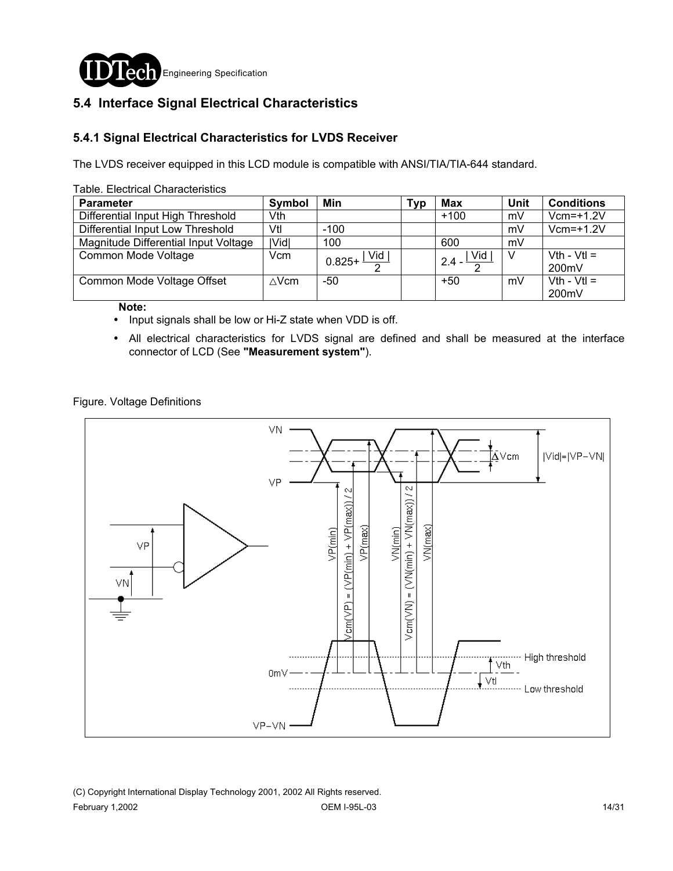

## **5.4 Interface Signal Electrical Characteristics**

#### **5.4.1 Signal Electrical Characteristics for LVDS Receiver**

The LVDS receiver equipped in this LCD module is compatible with ANSI/TIA/TIA-644 standard.

| avic. Lictultal Ullaratici istits    |        |                                            |     |                         |      |                        |  |
|--------------------------------------|--------|--------------------------------------------|-----|-------------------------|------|------------------------|--|
| <b>Parameter</b>                     | Symbol | Min                                        | Typ | Max                     | Unit | <b>Conditions</b>      |  |
| Differential Input High Threshold    | Vth    |                                            |     | $+100$                  | mV   | $Vcm=+1.2V$            |  |
| Differential Input Low Threshold     | Vtl    | $-100$                                     |     |                         | mV   | $Vcm=+1.2V$            |  |
| Magnitude Differential Input Voltage | IVidl  | 100                                        |     | 600                     | mV   |                        |  |
| Common Mode Voltage                  | Vcm    | $\frac{1}{0.825 + \frac{ \text{Vid} }{2}}$ |     | $2.4 - \frac{ Vid }{2}$ |      | $Vth - Vtl =$<br>200mV |  |
| Common Mode Voltage Offset           | ∆Vcm   | -50                                        |     | $+50$                   | mV   | $Vth - Vtl =$<br>200mV |  |

Table. Electrical Characteristics

 **Note:** 

! Input signals shall be low or Hi-Z state when VDD is off.

! All electrical characteristics for LVDS signal are defined and shall be measured at the interface connector of LCD (See **"Measurement system"**).

Figure. Voltage Definitions

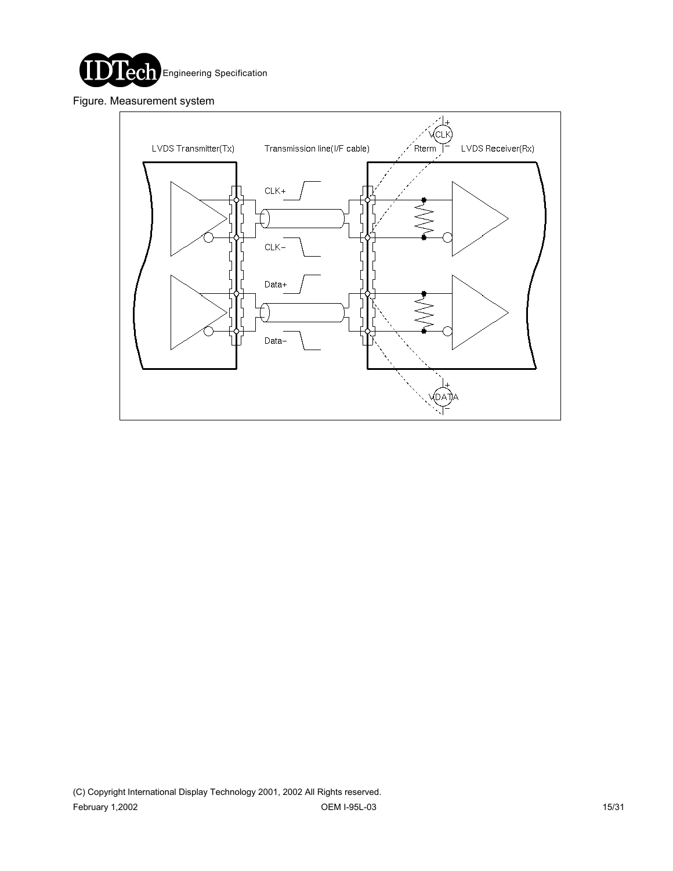

Figure. Measurement system

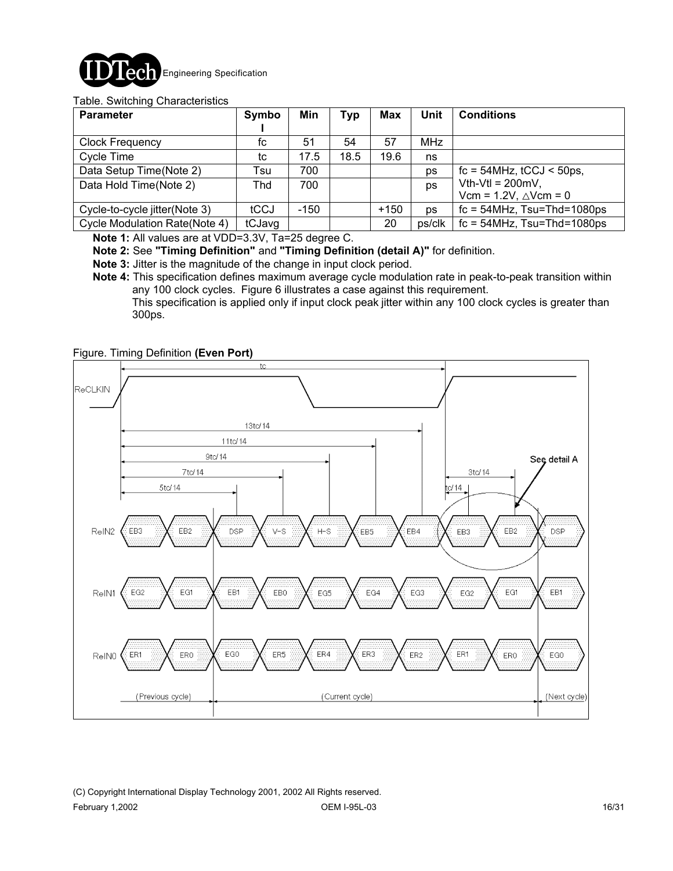

#### Table. Switching Characteristics

| <b>Parameter</b>                     | Symbo  | Min    | Typ  | <b>Max</b> | Unit   | <b>Conditions</b>                                          |
|--------------------------------------|--------|--------|------|------------|--------|------------------------------------------------------------|
| <b>Clock Frequency</b>               | fc     | 51     | 54   | 57         | MHz    |                                                            |
| Cycle Time                           | tc     | 17.5   | 18.5 | 19.6       | ns     |                                                            |
| Data Setup Time(Note 2)              | Tsu    | 700    |      |            | ps     | $fc = 54$ MHz, $tCCJ < 50$ ps,                             |
| Data Hold Time(Note 2)               | Thd    | 700    |      |            | ps     | Vth-Vtl = $200mV$ ,<br>Vcm = $1.2V$ , $\triangle V$ cm = 0 |
| Cycle-to-cycle jitter(Note 3)        | tCCJ   | $-150$ |      | $+150$     | ps     | $fc = 54 MHz$ , Tsu=Thd=1080ps                             |
| <b>Cycle Modulation Rate(Note 4)</b> | tCJavg |        |      | 20         | ps/clk | $fc = 54 MHz$ , Tsu=Thd=1080ps                             |

**Note 1:** All values are at VDD=3.3V, Ta=25 degree C.

**Note 2:** See **"Timing Definition"** and **"Timing Definition (detail A)"** for definition.

**Note 3:** Jitter is the magnitude of the change in input clock period.

**Note 4:** This specification defines maximum average cycle modulation rate in peak-to-peak transition within any 100 clock cycles. Figure 6 illustrates a case against this requirement.

 This specification is applied only if input clock peak jitter within any 100 clock cycles is greater than 300ps.

#### Figure. Timing Definition **(Even Port)**



(C) Copyright International Display Technology 2001, 2002 All Rights reserved. February 1,2002 OEM I-95L-03 16/31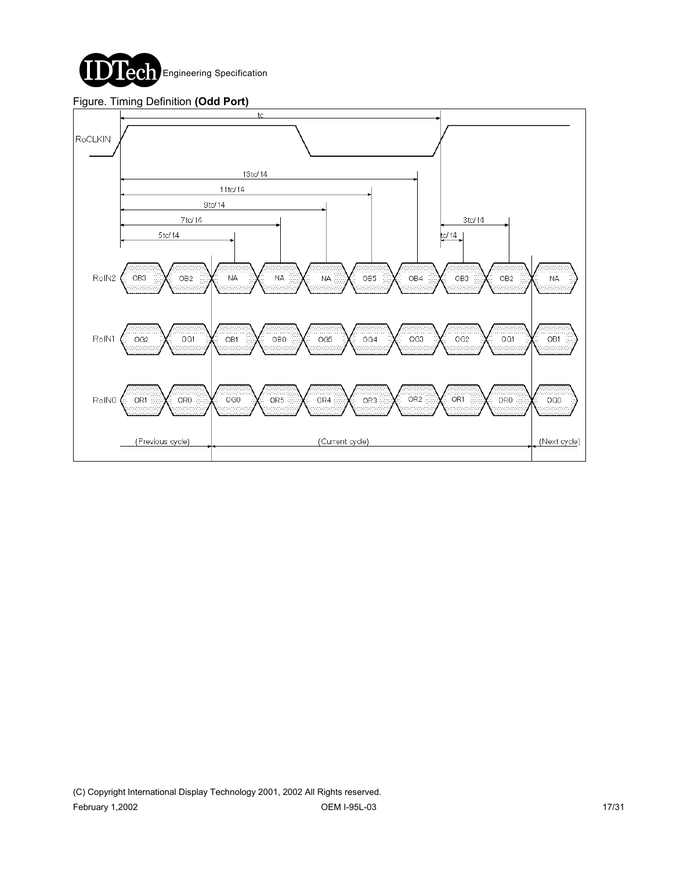

#### Figure. Timing Definition **(Odd Port)**

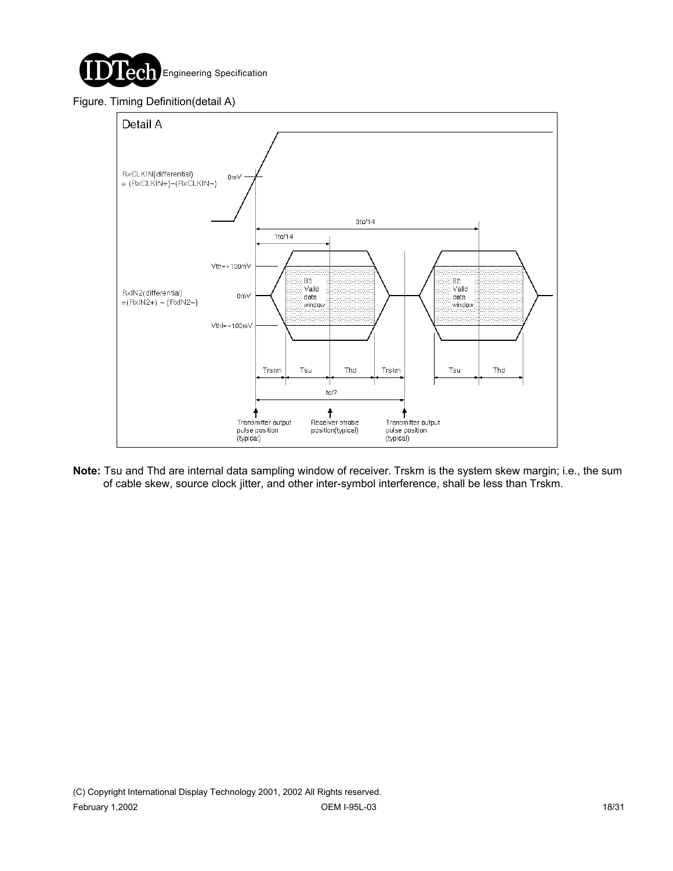

#### Figure. Timing Definition(detail A)



**Note:** Tsu and Thd are internal data sampling window of receiver. Trskm is the system skew margin; i.e., the sum of cable skew, source clock jitter, and other inter-symbol interference, shall be less than Trskm.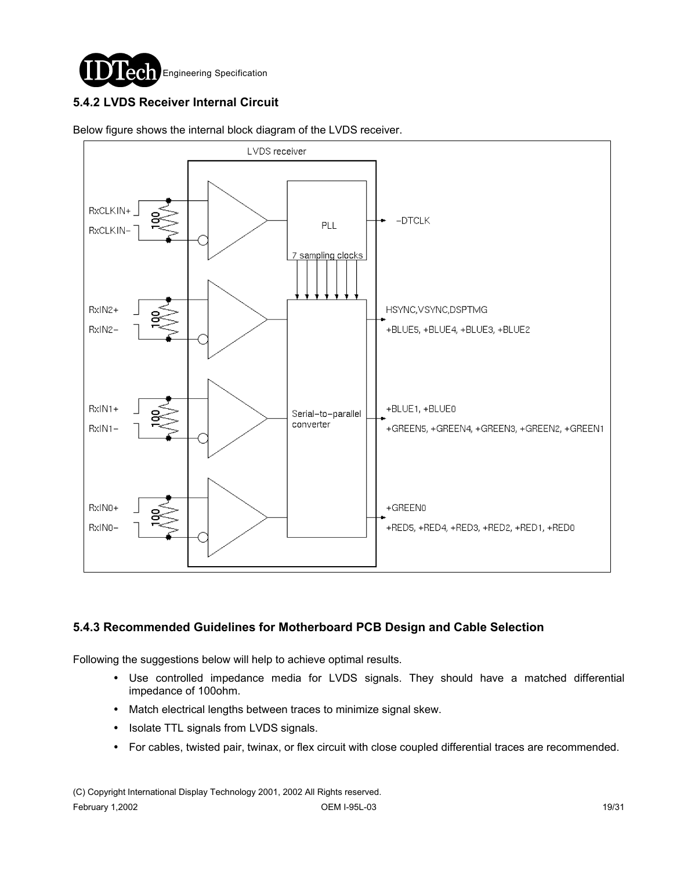

## **5.4.2 LVDS Receiver Internal Circuit**



Below figure shows the internal block diagram of the LVDS receiver.

#### **5.4.3 Recommended Guidelines for Motherboard PCB Design and Cable Selection**

Following the suggestions below will help to achieve optimal results.

- ! Use controlled impedance media for LVDS signals. They should have a matched differential impedance of 100ohm.
- ! Match electrical lengths between traces to minimize signal skew.
- Isolate TTL signals from LVDS signals.
- ! For cables, twisted pair, twinax, or flex circuit with close coupled differential traces are recommended.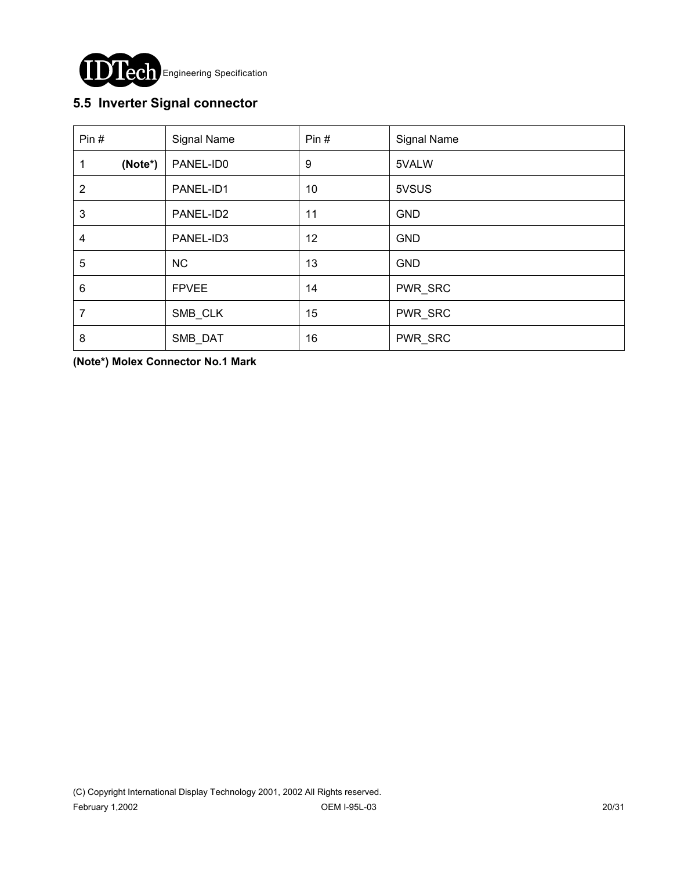

## **5.5 Inverter Signal connector**

| Pin#           | Signal Name  | Pin# | Signal Name |
|----------------|--------------|------|-------------|
| (Note*)<br>1   | PANEL-ID0    | 9    | 5VALW       |
| $\overline{2}$ | PANEL-ID1    | 10   | 5VSUS       |
| 3              | PANEL-ID2    | 11   | <b>GND</b>  |
| 4              | PANEL-ID3    | 12   | <b>GND</b>  |
| 5              | <b>NC</b>    | 13   | <b>GND</b>  |
| 6              | <b>FPVEE</b> | 14   | PWR_SRC     |
| 7              | SMB_CLK      | 15   | PWR_SRC     |
| 8              | SMB_DAT      | 16   | PWR_SRC     |

**(Note\*) Molex Connector No.1 Mark**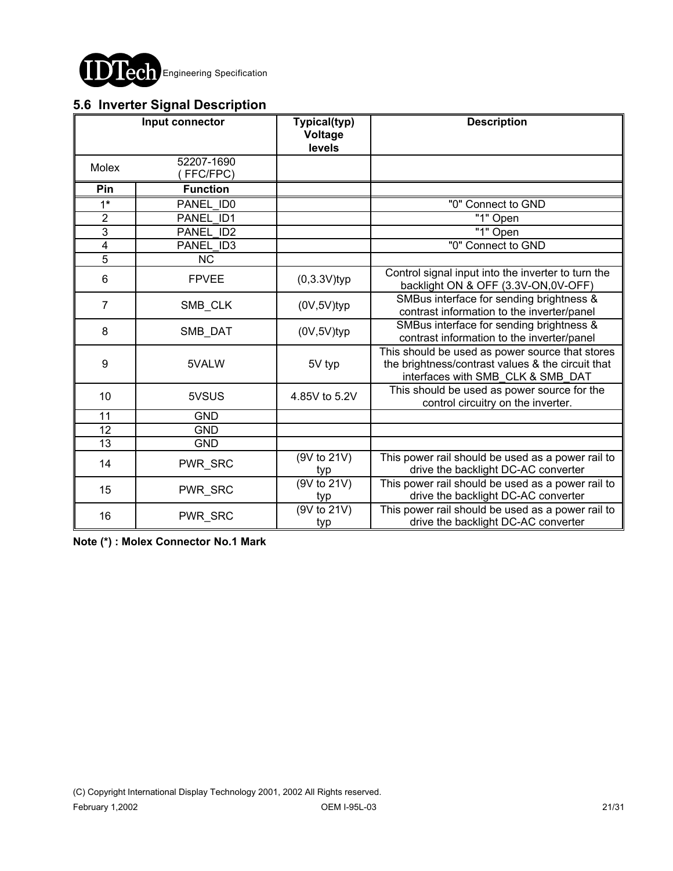

## **5.6 Inverter Signal Description**

|                | Input connector        | Typical(typ)<br>Voltage<br>levels | <b>Description</b>                                                                                                                        |
|----------------|------------------------|-----------------------------------|-------------------------------------------------------------------------------------------------------------------------------------------|
| Molex          | 52207-1690<br>FFC/FPC) |                                   |                                                                                                                                           |
| Pin            | <b>Function</b>        |                                   |                                                                                                                                           |
| $1*$           | PANEL ID0              |                                   | "0" Connect to GND                                                                                                                        |
| $\overline{2}$ | PANEL ID1              |                                   | "1" Open                                                                                                                                  |
| $\overline{3}$ | PANEL ID2              |                                   | "1" Open                                                                                                                                  |
| $\overline{4}$ | PANEL ID3              |                                   | "0" Connect to GND                                                                                                                        |
| $\overline{5}$ | <b>NC</b>              |                                   |                                                                                                                                           |
| 6              | <b>FPVEE</b>           | $(0,3.3V)$ typ                    | Control signal input into the inverter to turn the<br>backlight ON & OFF (3.3V-ON,0V-OFF)                                                 |
| $\overline{7}$ | SMB_CLK                | $(0V, 5V)$ typ                    | SMBus interface for sending brightness &<br>contrast information to the inverter/panel                                                    |
| 8              | SMB DAT                | $(0V, 5V)$ typ                    | SMBus interface for sending brightness &<br>contrast information to the inverter/panel                                                    |
| 9              | 5VALW                  | 5V typ                            | This should be used as power source that stores<br>the brightness/contrast values & the circuit that<br>interfaces with SMB CLK & SMB DAT |
| 10             | 5VSUS                  | 4.85V to 5.2V                     | This should be used as power source for the<br>control circuitry on the inverter.                                                         |
| 11             | GND                    |                                   |                                                                                                                                           |
| 12             | <b>GND</b>             |                                   |                                                                                                                                           |
| 13             | <b>GND</b>             |                                   |                                                                                                                                           |
| 14             | PWR SRC                | (9V to 21V)<br>typ                | This power rail should be used as a power rail to<br>drive the backlight DC-AC converter                                                  |
| 15             | PWR_SRC                | (9V to 21V)<br>typ                | This power rail should be used as a power rail to<br>drive the backlight DC-AC converter                                                  |
| 16             | PWR SRC                | (9V to 21V)<br>typ                | This power rail should be used as a power rail to<br>drive the backlight DC-AC converter                                                  |

**Note (\*) : Molex Connector No.1 Mark**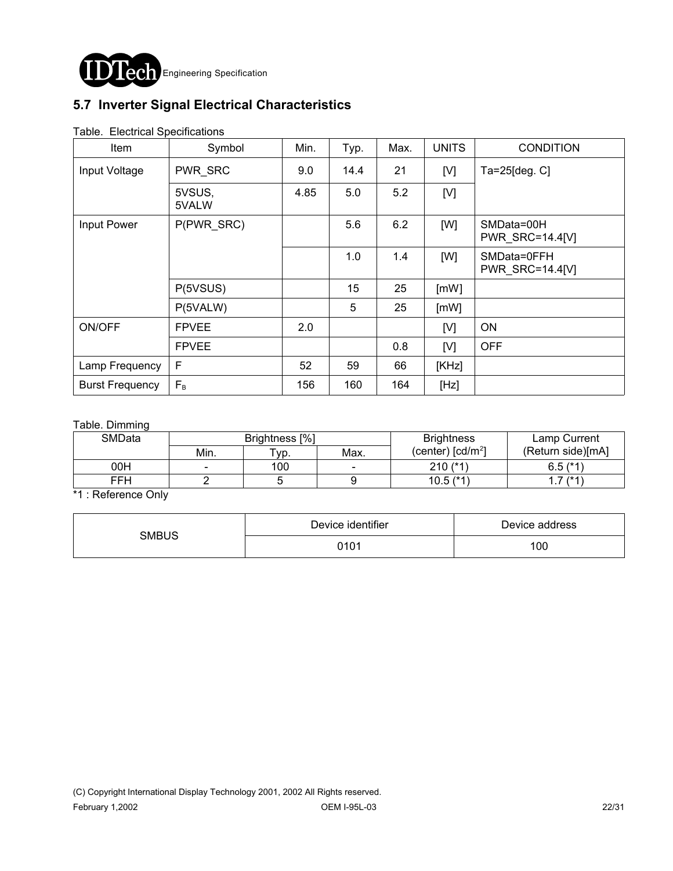

## **5.7 Inverter Signal Electrical Characteristics**

| Item                   | Symbol          | Min. | Typ. | Max. | <b>UNITS</b> | <b>CONDITION</b>               |
|------------------------|-----------------|------|------|------|--------------|--------------------------------|
| Input Voltage          | PWR_SRC         | 9.0  | 14.4 | 21   | [V]          | Ta=25[deg. C]                  |
|                        | 5VSUS,<br>5VALW | 4.85 | 5.0  | 5.2  | [V]          |                                |
| Input Power            | P(PWR SRC)      |      | 5.6  | 6.2  | [W]          | SMData=00H<br>PWR_SRC=14.4[V]  |
|                        |                 |      | 1.0  | 1.4  | [W]          | SMData=0FFH<br>PWR SRC=14.4[V] |
|                        | P(5VSUS)        |      | 15   | 25   | [mW]         |                                |
|                        | P(5VALW)        |      | 5    | 25   | [mW]         |                                |
| <b>ON/OFF</b>          | <b>FPVEE</b>    | 2.0  |      |      | [V]          | ON                             |
|                        | <b>FPVEE</b>    |      |      | 0.8  | [V]          | <b>OFF</b>                     |
| Lamp Frequency         | $\mathsf{F}$    | 52   | 59   | 66   | [KHz]        |                                |
| <b>Burst Frequency</b> | $F_B$           | 156  | 160  | 164  | [Hz]         |                                |

#### Table. Electrical Specifications

#### Table. Dimming

| <b>SMData</b> | Brightness [%] |      |      | <b>Brightness</b>                            | Lamp Current      |
|---------------|----------------|------|------|----------------------------------------------|-------------------|
|               | Min.           | "ур. | Max. | (center) $\lceil$ cd/m <sup>2</sup> $\rceil$ | (Return side)[mA] |
| 00H           |                | 100  |      | $210 (*1)$                                   | $6.5$ ( $*1$ )    |
| FFH           |                |      |      | $10.5$ ( $*1$                                | $7^{(*4)}$        |

\*1 : Reference Only

| <b>SMBUS</b> | Device identifier | Device address |  |
|--------------|-------------------|----------------|--|
|              | 0101              | 100            |  |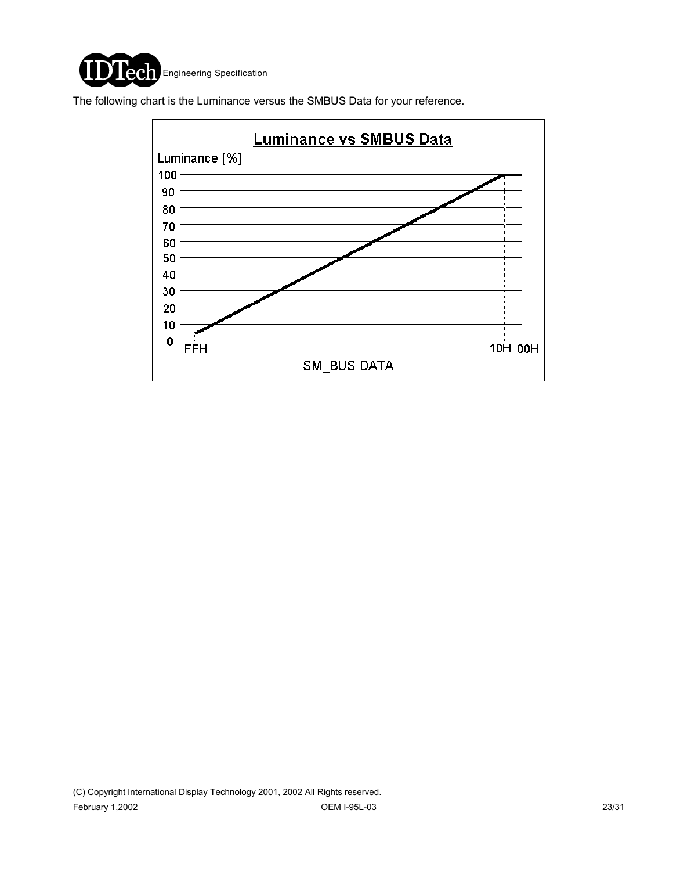

The following chart is the Luminance versus the SMBUS Data for your reference.

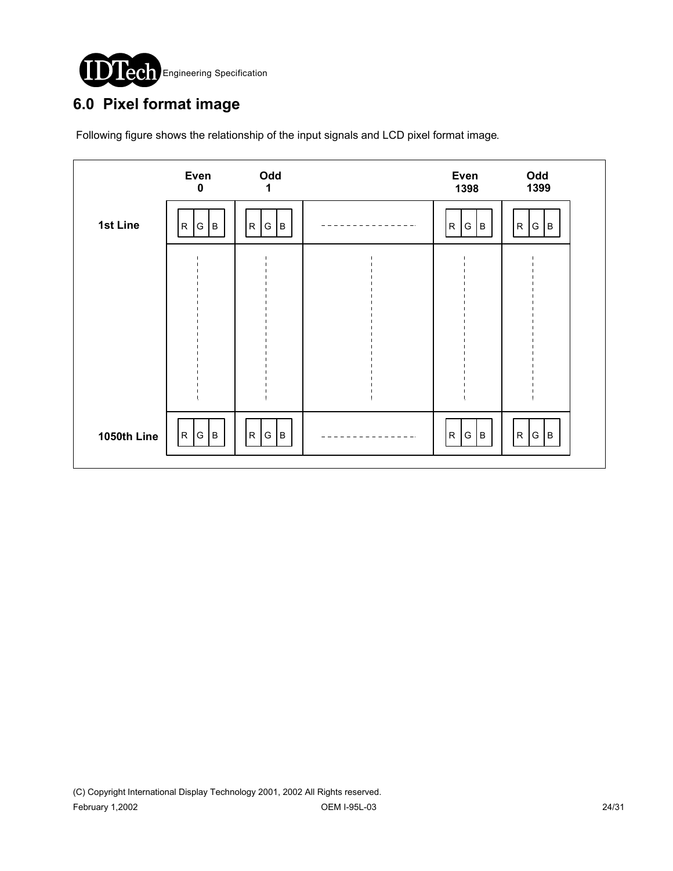

# **6.0 Pixel format image**

Following figure shows the relationship of the input signals and LCD pixel format image.

|             | Even<br>$\mathbf 0$             | Odd<br>1              | Even<br>1398                       | Odd<br>1399               |  |
|-------------|---------------------------------|-----------------------|------------------------------------|---------------------------|--|
| 1st Line    | $\overline{\mathsf{R}}$<br> G B | ${\sf R}$<br> G <br>B | $\overline{\mathsf{R}}$<br>lв<br>G | R <br>${\mathsf G}$<br>Iв |  |
|             |                                 |                       |                                    |                           |  |
|             |                                 |                       |                                    |                           |  |
|             |                                 |                       |                                    |                           |  |
|             |                                 |                       |                                    |                           |  |
| 1050th Line | R.<br>G B                       | G <br>${\sf R}$<br>B  | R.<br>G<br>lв                      | G   B<br>R                |  |
|             |                                 |                       |                                    |                           |  |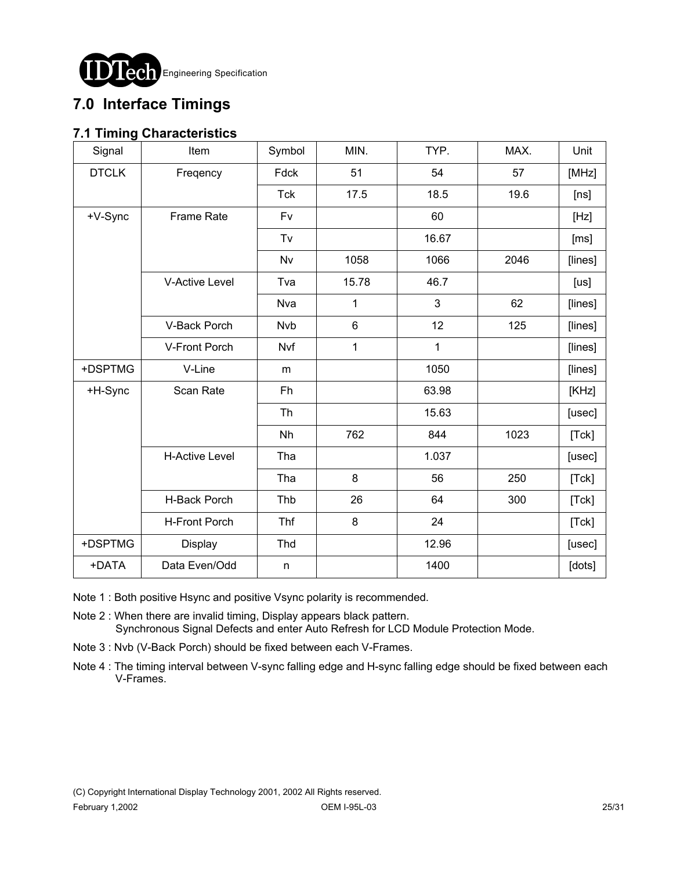

# **7.0 Interface Timings**

### **7.1 Timing Characteristics**

| Signal       | Item                  | Symbol       | MIN.           | TYP.  | MAX. | Unit    |
|--------------|-----------------------|--------------|----------------|-------|------|---------|
| <b>DTCLK</b> | Freqency              | Fdck         | 51             | 54    | 57   | [MHz]   |
|              |                       | <b>Tck</b>   | 17.5           | 18.5  | 19.6 | [ns]    |
| +V-Sync      | <b>Frame Rate</b>     | Fv           |                | 60    |      | [Hz]    |
|              |                       | Tv           |                | 16.67 |      | [ms]    |
|              |                       | Nv           | 1058           | 1066  | 2046 | [lines] |
|              | <b>V-Active Level</b> | Tva          | 15.78          | 46.7  |      | [us]    |
|              |                       | Nva          | 1              | 3     | 62   | [lines] |
|              | V-Back Porch          | <b>Nvb</b>   | $6\phantom{1}$ | 12    | 125  | [lines] |
|              | V-Front Porch         | Nvf          | 1              | 1     |      | [lines] |
| +DSPTMG      | V-Line                | m            |                | 1050  |      | [lines] |
| +H-Sync      | Scan Rate             | Fh           |                | 63.98 |      | [KHz]   |
|              |                       | <b>Th</b>    |                | 15.63 |      | [usec]  |
|              |                       | Nh           | 762            | 844   | 1023 | [Tck]   |
|              | <b>H-Active Level</b> | Tha          |                | 1.037 |      | [usec]  |
|              |                       | Tha          | 8              | 56    | 250  | [Tck]   |
|              | H-Back Porch          | Thb          | 26             | 64    | 300  | [Tck]   |
|              | <b>H-Front Porch</b>  | Thf          | 8              | 24    |      | [Tck]   |
| +DSPTMG      | Display               | Thd          |                | 12.96 |      | [usec]  |
| +DATA        | Data Even/Odd         | $\mathsf{n}$ |                | 1400  |      | [dots]  |

- Note 1 : Both positive Hsync and positive Vsync polarity is recommended.
- Note 2 : When there are invalid timing, Display appears black pattern. Synchronous Signal Defects and enter Auto Refresh for LCD Module Protection Mode.
- Note 3 : Nvb (V-Back Porch) should be fixed between each V-Frames.
- Note 4 : The timing interval between V-sync falling edge and H-sync falling edge should be fixed between each V-Frames.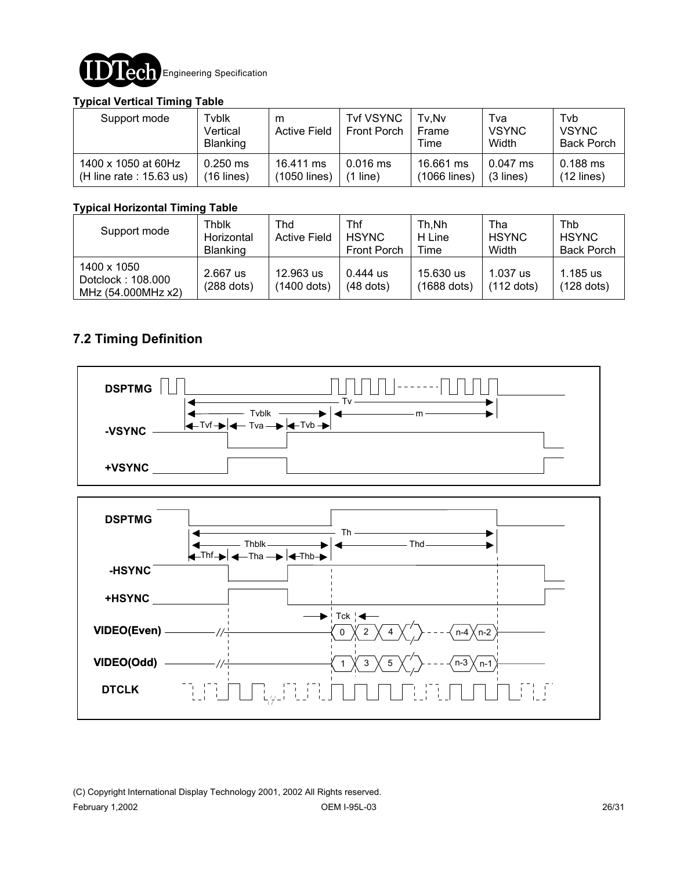

#### **Typical Vertical Timing Table**

| Support mode               | Tyblk<br>Vertical<br><b>Blanking</b> | m<br><b>Active Field</b> | <b>Tvf VSYNC</b><br><b>Front Porch</b> | Tv.Nv<br>Frame<br>Time | Tva<br><b>VSYNC</b><br>Width | Tvb<br><b>VSYNC</b><br><b>Back Porch</b> |
|----------------------------|--------------------------------------|--------------------------|----------------------------------------|------------------------|------------------------------|------------------------------------------|
| 1400 x 1050 at 60Hz        | $0.250$ ms                           | 16.411 ms                | $0.016$ ms                             | 16.661 ms              | $0.047$ ms                   | 0.188 ms                                 |
| (H line rate : $15.63$ us) | $(16$ lines)                         | (1050 lines)             | line)                                  | (1066 lines)           | $(3$ lines)                  | $(12$ lines)                             |

#### **Typical Horizontal Timing Table**

| Support mode                                           | Thblk<br>Horizontal<br><b>Blanking</b> | Thd<br><b>Active Field</b> | Thf<br><b>HSYNC</b><br><b>Front Porch</b> | Th.Nh<br>H Line<br>Time    | Tha<br><b>HSYNC</b><br>Width | Thb<br><b>HSYNC</b><br><b>Back Porch</b> |
|--------------------------------------------------------|----------------------------------------|----------------------------|-------------------------------------------|----------------------------|------------------------------|------------------------------------------|
| 1400 x 1050<br>Dotclock: 108.000<br>MHz (54.000MHz x2) | 2.667 us<br>$(288$ dots)               | 12.963 us<br>(1400 dots)   | 0.444 us<br>$(48$ dots)                   | 15.630 us<br>$(1688$ dots) | 1.037 us<br>$(112$ dots)     | $1.185$ us<br>$(128$ dots)               |

### **7.2 Timing Definition**



(C) Copyright International Display Technology 2001, 2002 All Rights reserved. February 1,2002 OEM I-95L-03 26/31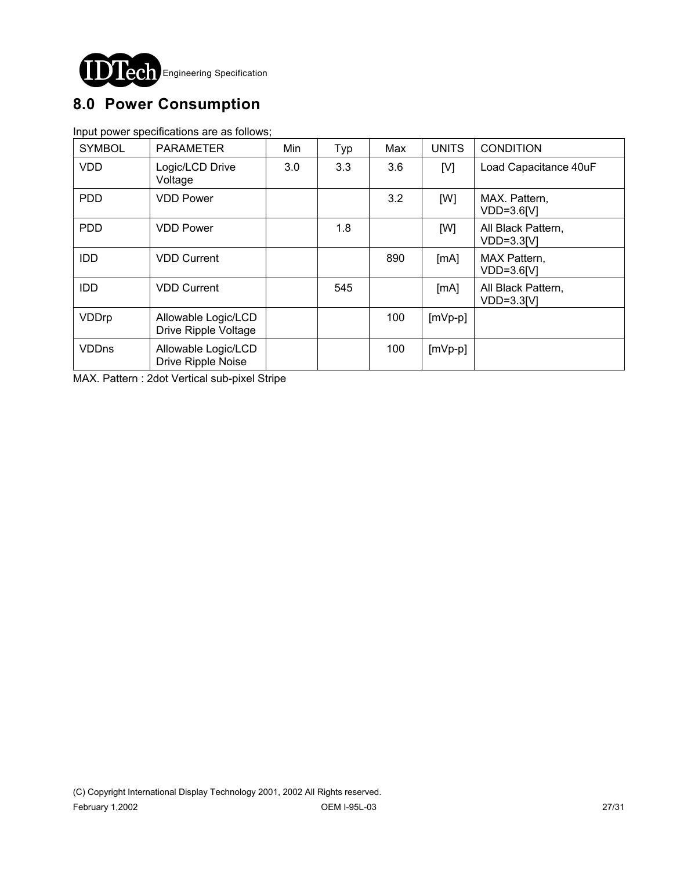

# **8.0 Power Consumption**

Input power specifications are as follows;

| <b>SYMBOL</b> | <b>PARAMETER</b>                            | Min | Typ | Max | <b>UNITS</b> | <b>CONDITION</b>                   |
|---------------|---------------------------------------------|-----|-----|-----|--------------|------------------------------------|
| <b>VDD</b>    | Logic/LCD Drive<br>Voltage                  | 3.0 | 3.3 | 3.6 | [V]          | Load Capacitance 40uF              |
| <b>PDD</b>    | <b>VDD Power</b>                            |     |     | 3.2 | [W]          | MAX. Pattern.<br>VDD=3.6[V]        |
| <b>PDD</b>    | <b>VDD Power</b>                            |     | 1.8 |     | [W]          | All Black Pattern,<br>$VDD=3.3[V]$ |
| <b>IDD</b>    | <b>VDD Current</b>                          |     |     | 890 | [MA]         | MAX Pattern,<br>$VDD=3.6[V]$       |
| <b>IDD</b>    | <b>VDD Current</b>                          |     | 545 |     | [MA]         | All Black Pattern,<br>$VDD=3.3[V]$ |
| VDDrp         | Allowable Logic/LCD<br>Drive Ripple Voltage |     |     | 100 | $[mVp-p]$    |                                    |
| <b>VDDns</b>  | Allowable Logic/LCD<br>Drive Ripple Noise   |     |     | 100 | $[mVp-p]$    |                                    |

MAX. Pattern : 2dot Vertical sub-pixel Stripe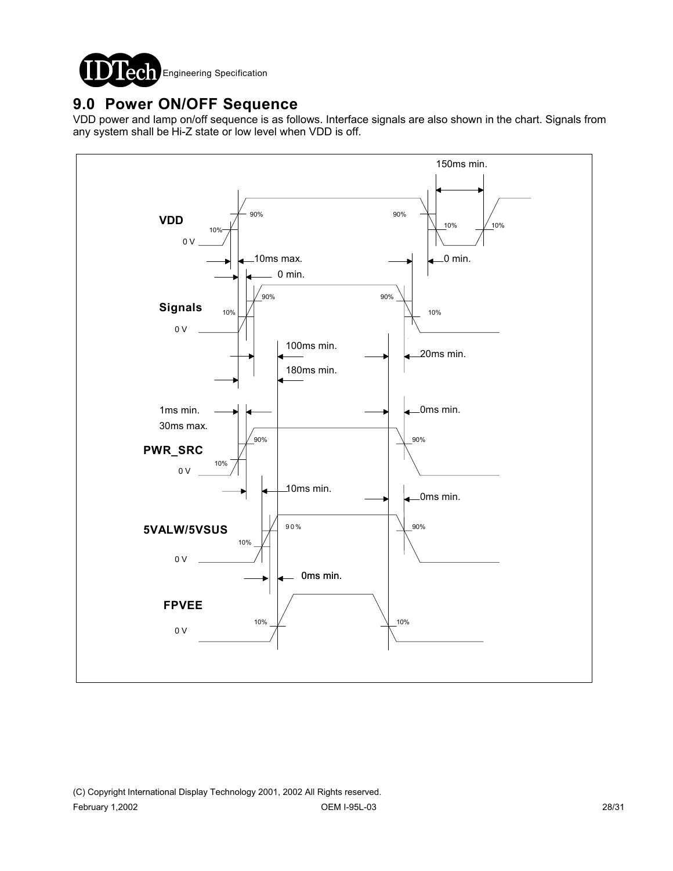

## **9.0 Power ON/OFF Sequence**

VDD power and lamp on/off sequence is as follows. Interface signals are also shown in the chart. Signals from any system shall be Hi-Z state or low level when VDD is off.

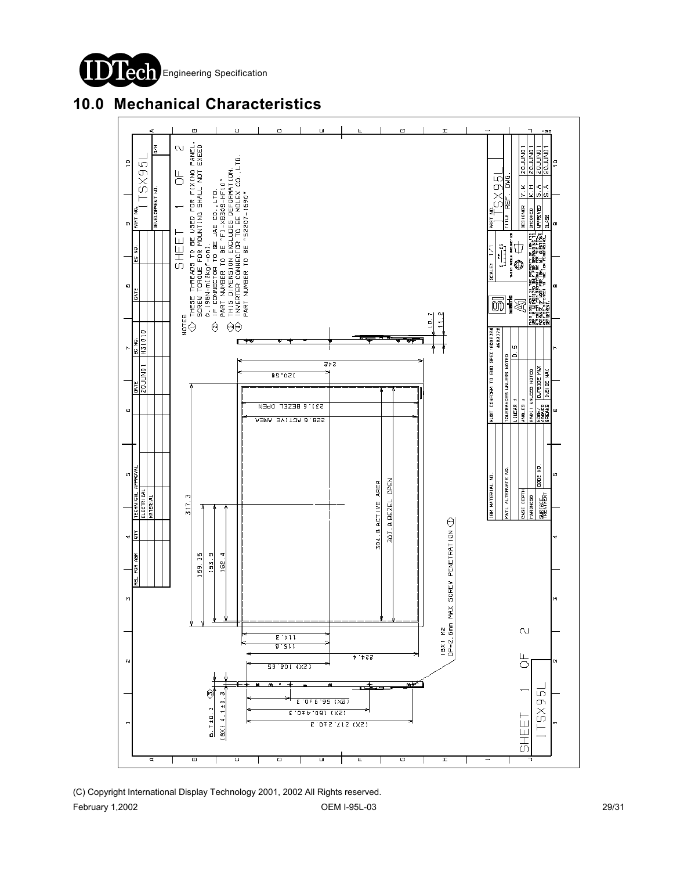



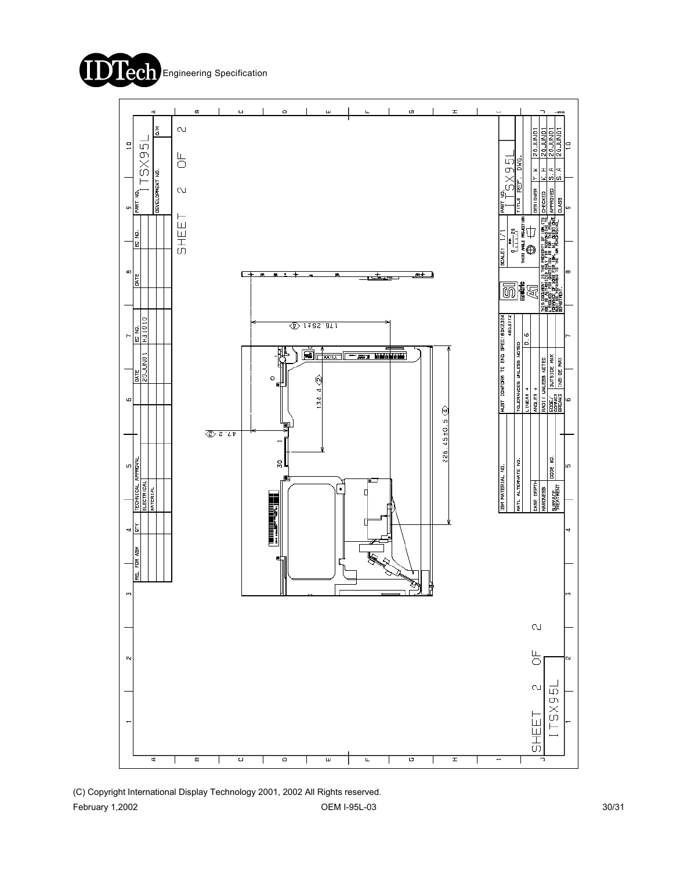



(C) Copyright International Display Technology 2001, 2002 All Rights reserved. February 1,2002 OEM I-95L-03 30/31